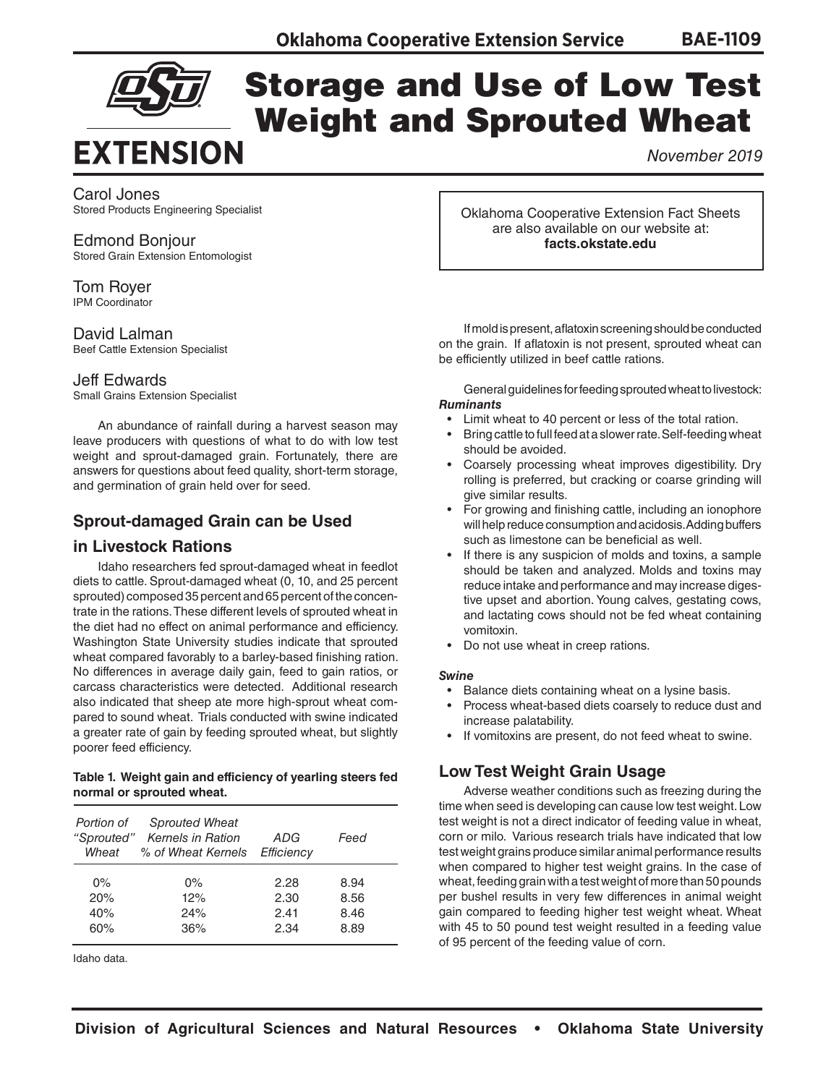



# Storage and Use of Low Test Weight and Sprouted Wheat

*November 2019*

#### Carol Jones

Stored Products Engineering Specialist

Edmond Bonjour Stored Grain Extension Entomologist

Tom Royer IPM Coordinator

David Lalman Beef Cattle Extension Specialist

#### Jeff Edwards

Small Grains Extension Specialist

An abundance of rainfall during a harvest season may leave producers with questions of what to do with low test weight and sprout-damaged grain. Fortunately, there are answers for questions about feed quality, short-term storage, and germination of grain held over for seed.

# **Sprout-damaged Grain can be Used**

#### **in Livestock Rations**

Idaho researchers fed sprout-damaged wheat in feedlot diets to cattle. Sprout-damaged wheat (0, 10, and 25 percent sprouted) composed 35 percent and 65 percent of the concentrate in the rations. These different levels of sprouted wheat in the diet had no effect on animal performance and efficiency. Washington State University studies indicate that sprouted wheat compared favorably to a barley-based finishing ration. No differences in average daily gain, feed to gain ratios, or carcass characteristics were detected. Additional research also indicated that sheep ate more high-sprout wheat compared to sound wheat. Trials conducted with swine indicated a greater rate of gain by feeding sprouted wheat, but slightly poorer feed efficiency.

#### **Table 1. Weight gain and efficiency of yearling steers fed normal or sprouted wheat.**

| Portion of | <b>Sprouted Wheat</b><br>"Sprouted" Kernels in Ration<br>Wheat % of Wheat Kernels | ADG<br>Efficiency | Feed |  |
|------------|-----------------------------------------------------------------------------------|-------------------|------|--|
| $0\%$      | $0\%$                                                                             | 2.28              | 8.94 |  |
| 20%        | 12%                                                                               | 2.30              | 8.56 |  |
| 40%        | 24%                                                                               | 2.41              | 8.46 |  |
| 60%        | 36%                                                                               | 2.34              | 8.89 |  |

Idaho data.

Oklahoma Cooperative Extension Fact Sheets are also available on our website at: **facts.okstate.edu**

If mold is present, aflatoxin screening should be conducted on the grain. If aflatoxin is not present, sprouted wheat can be efficiently utilized in beef cattle rations.

General guidelines for feeding sprouted wheat to livestock: *Ruminants*

- Limit wheat to 40 percent or less of the total ration.
- Bring cattle to full feed at a slower rate. Self-feeding wheat should be avoided.
- Coarsely processing wheat improves digestibility. Dry rolling is preferred, but cracking or coarse grinding will give similar results.
- For growing and finishing cattle, including an ionophore will help reduce consumption and acidosis. Adding buffers such as limestone can be beneficial as well.
- If there is any suspicion of molds and toxins, a sample should be taken and analyzed. Molds and toxins may reduce intake and performance and may increase digestive upset and abortion. Young calves, gestating cows, and lactating cows should not be fed wheat containing vomitoxin.
- Do not use wheat in creep rations.

#### *Swine*

- Balance diets containing wheat on a lysine basis.
- Process wheat-based diets coarsely to reduce dust and increase palatability.
- If vomitoxins are present, do not feed wheat to swine.

# **Low Test Weight Grain Usage**

Adverse weather conditions such as freezing during the time when seed is developing can cause low test weight. Low test weight is not a direct indicator of feeding value in wheat, corn or milo. Various research trials have indicated that low test weight grains produce similar animal performance results when compared to higher test weight grains. In the case of wheat, feeding grain with a test weight of more than 50 pounds per bushel results in very few differences in animal weight gain compared to feeding higher test weight wheat. Wheat with 45 to 50 pound test weight resulted in a feeding value of 95 percent of the feeding value of corn.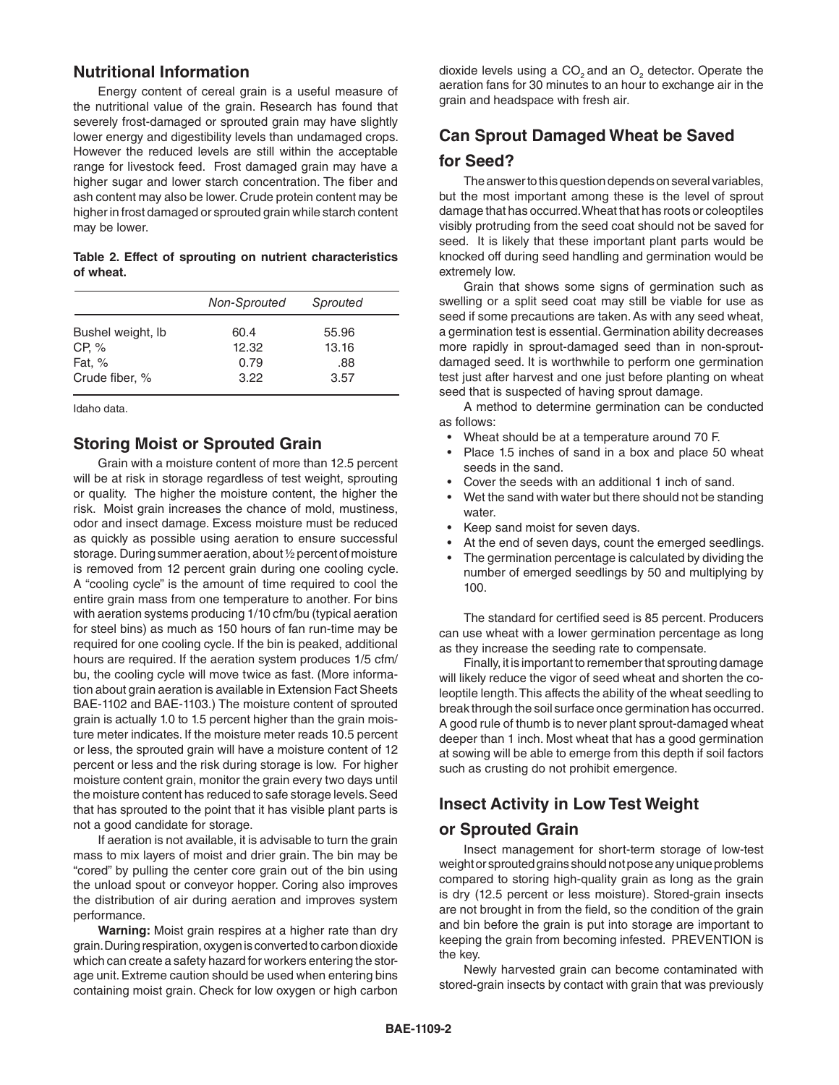### **Nutritional Information**

Energy content of cereal grain is a useful measure of the nutritional value of the grain. Research has found that severely frost-damaged or sprouted grain may have slightly lower energy and digestibility levels than undamaged crops. However the reduced levels are still within the acceptable range for livestock feed. Frost damaged grain may have a higher sugar and lower starch concentration. The fiber and ash content may also be lower. Crude protein content may be higher in frost damaged or sprouted grain while starch content may be lower.

|           |  |  | Table 2. Effect of sprouting on nutrient characteristics |
|-----------|--|--|----------------------------------------------------------|
| of wheat. |  |  |                                                          |

|                   | Non-Sprouted | Sprouted |  |
|-------------------|--------------|----------|--|
| Bushel weight, Ib | 60.4         | 55.96    |  |
| CP, %             | 12.32        | 13.16    |  |
| Fat, %            | 0.79         | .88      |  |
| Crude fiber, %    | 3.22         | 3.57     |  |
|                   |              |          |  |

Idaho data.

# **Storing Moist or Sprouted Grain**

Grain with a moisture content of more than 12.5 percent will be at risk in storage regardless of test weight, sprouting or quality. The higher the moisture content, the higher the risk. Moist grain increases the chance of mold, mustiness, odor and insect damage. Excess moisture must be reduced as quickly as possible using aeration to ensure successful storage. During summer aeration, about ½ percent of moisture is removed from 12 percent grain during one cooling cycle. A "cooling cycle" is the amount of time required to cool the entire grain mass from one temperature to another. For bins with aeration systems producing 1/10 cfm/bu (typical aeration for steel bins) as much as 150 hours of fan run-time may be required for one cooling cycle. If the bin is peaked, additional hours are required. If the aeration system produces 1/5 cfm/ bu, the cooling cycle will move twice as fast. (More information about grain aeration is available in Extension Fact Sheets BAE-1102 and BAE-1103.) The moisture content of sprouted grain is actually 1.0 to 1.5 percent higher than the grain moisture meter indicates. If the moisture meter reads 10.5 percent or less, the sprouted grain will have a moisture content of 12 percent or less and the risk during storage is low. For higher moisture content grain, monitor the grain every two days until the moisture content has reduced to safe storage levels. Seed that has sprouted to the point that it has visible plant parts is not a good candidate for storage.

If aeration is not available, it is advisable to turn the grain mass to mix layers of moist and drier grain. The bin may be "cored" by pulling the center core grain out of the bin using the unload spout or conveyor hopper. Coring also improves the distribution of air during aeration and improves system performance.

**Warning:** Moist grain respires at a higher rate than dry grain. During respiration, oxygen is converted to carbon dioxide which can create a safety hazard for workers entering the storage unit. Extreme caution should be used when entering bins containing moist grain. Check for low oxygen or high carbon

dioxide levels using a CO<sub>2</sub> and an O<sub>2</sub> detector. Operate the aeration fans for 30 minutes to an hour to exchange air in the grain and headspace with fresh air.

# **Can Sprout Damaged Wheat be Saved for Seed?**

The answer to this question depends on several variables, but the most important among these is the level of sprout damage that has occurred. Wheat that has roots or coleoptiles visibly protruding from the seed coat should not be saved for seed. It is likely that these important plant parts would be knocked off during seed handling and germination would be extremely low.

Grain that shows some signs of germination such as swelling or a split seed coat may still be viable for use as seed if some precautions are taken. As with any seed wheat, a germination test is essential. Germination ability decreases more rapidly in sprout-damaged seed than in non-sproutdamaged seed. It is worthwhile to perform one germination test just after harvest and one just before planting on wheat seed that is suspected of having sprout damage.

A method to determine germination can be conducted as follows:

- Wheat should be at a temperature around 70 F.
- Place 1.5 inches of sand in a box and place 50 wheat seeds in the sand.
- Cover the seeds with an additional 1 inch of sand.
- Wet the sand with water but there should not be standing water.
- Keep sand moist for seven days.
- At the end of seven days, count the emerged seedlings.
- The germination percentage is calculated by dividing the number of emerged seedlings by 50 and multiplying by 100.

The standard for certified seed is 85 percent. Producers can use wheat with a lower germination percentage as long as they increase the seeding rate to compensate.

Finally, it is important to remember that sprouting damage will likely reduce the vigor of seed wheat and shorten the coleoptile length. This affects the ability of the wheat seedling to break through the soil surface once germination has occurred. A good rule of thumb is to never plant sprout-damaged wheat deeper than 1 inch. Most wheat that has a good germination at sowing will be able to emerge from this depth if soil factors such as crusting do not prohibit emergence.

# **Insect Activity in Low Test Weight**

### **or Sprouted Grain**

Insect management for short-term storage of low-test weight or sprouted grains should not pose any unique problems compared to storing high-quality grain as long as the grain is dry (12.5 percent or less moisture). Stored-grain insects are not brought in from the field, so the condition of the grain and bin before the grain is put into storage are important to keeping the grain from becoming infested. PREVENTION is the key.

Newly harvested grain can become contaminated with stored-grain insects by contact with grain that was previously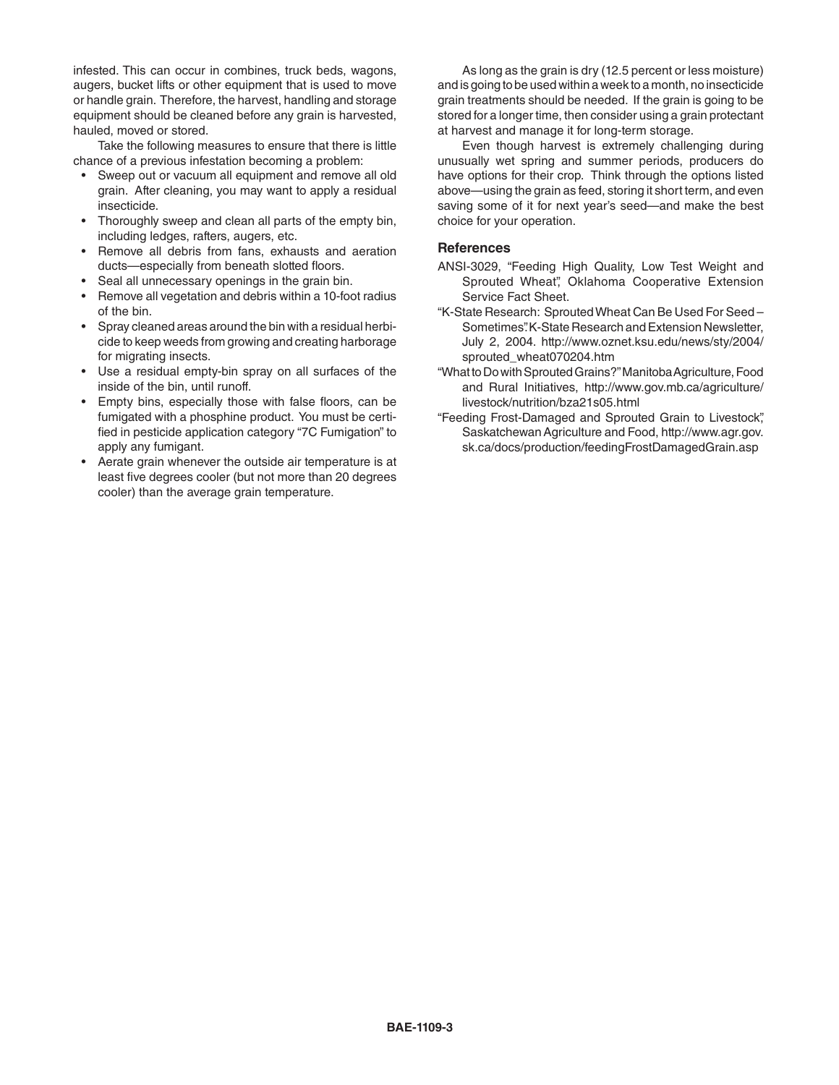infested. This can occur in combines, truck beds, wagons, augers, bucket lifts or other equipment that is used to move or handle grain. Therefore, the harvest, handling and storage equipment should be cleaned before any grain is harvested, hauled, moved or stored.

Take the following measures to ensure that there is little chance of a previous infestation becoming a problem:

- Sweep out or vacuum all equipment and remove all old grain. After cleaning, you may want to apply a residual insecticide.
- Thoroughly sweep and clean all parts of the empty bin, including ledges, rafters, augers, etc.
- Remove all debris from fans, exhausts and aeration ducts—especially from beneath slotted floors.
- Seal all unnecessary openings in the grain bin.
- Remove all vegetation and debris within a 10-foot radius of the bin.
- Spray cleaned areas around the bin with a residual herbicide to keep weeds from growing and creating harborage for migrating insects.
- Use a residual empty-bin spray on all surfaces of the inside of the bin, until runoff.
- Empty bins, especially those with false floors, can be fumigated with a phosphine product. You must be certified in pesticide application category "7C Fumigation" to apply any fumigant.
- Aerate grain whenever the outside air temperature is at least five degrees cooler (but not more than 20 degrees cooler) than the average grain temperature.

As long as the grain is dry (12.5 percent or less moisture) and is going to be used within a week to a month, no insecticide grain treatments should be needed. If the grain is going to be stored for a longer time, then consider using a grain protectant at harvest and manage it for long-term storage.

Even though harvest is extremely challenging during unusually wet spring and summer periods, producers do have options for their crop. Think through the options listed above—using the grain as feed, storing it short term, and even saving some of it for next year's seed—and make the best choice for your operation.

#### **References**

- ANSI-3029, "Feeding High Quality, Low Test Weight and Sprouted Wheat", Oklahoma Cooperative Extension Service Fact Sheet.
- "K-State Research: Sprouted Wheat Can Be Used For Seed Sometimes". K-State Research and Extension Newsletter. July 2, 2004. [http://www.oznet.ksu.edu/news/sty/2004/](file:///Volumes/Publications/%20%20%20Pubs/%20Fact%20Sheets/BAE/BAE-1100/BAE-1109/edu/news/sty/2004/sprouted_wheat070204.htm) [sprouted\\_wheat070204.htm](file:///Volumes/Publications/%20%20%20Pubs/%20Fact%20Sheets/BAE/BAE-1100/BAE-1109/edu/news/sty/2004/sprouted_wheat070204.htm)
- "What to Do with Sprouted Grains?" Manitoba Agriculture, Food and Rural Initiatives, [http://www.gov.mb.ca/agriculture/](file:///Volumes/Publications/%20%20%20Pubs/%20Fact%20Sheets/BAE/BAE-1100/BAE-1109/agriculture/livestock/nutrition/bza21s05.html) [livestock/nutrition/bza21s05.html](file:///Volumes/Publications/%20%20%20Pubs/%20Fact%20Sheets/BAE/BAE-1100/BAE-1109/agriculture/livestock/nutrition/bza21s05.html)
- "Feeding Frost-Damaged and Sprouted Grain to Livestock", Saskatchewan Agriculture and Food, [http://www.agr.gov.](file:///Volumes/Publications/%20%20%20Pubs/%20Fact%20Sheets/BAE/BAE-1100/BAE-1109/.ca/docs/production/feedingFrostDamagedGrain.asp) [sk.ca/docs/production/feedingFrostDamagedGrain.asp](file:///Volumes/Publications/%20%20%20Pubs/%20Fact%20Sheets/BAE/BAE-1100/BAE-1109/.ca/docs/production/feedingFrostDamagedGrain.asp)